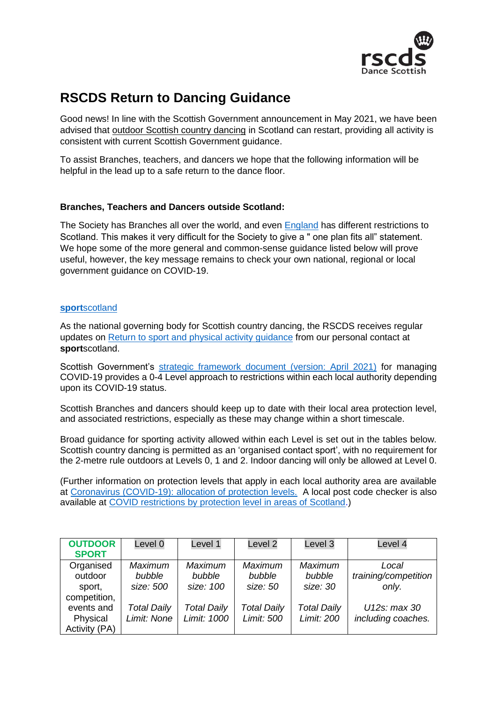

# **RSCDS Return to Dancing Guidance**

Good news! In line with the Scottish Government announcement in May 2021, we have been advised that outdoor Scottish country dancing in Scotland can restart, providing all activity is consistent with current Scottish Government guidance.

To assist Branches, teachers, and dancers we hope that the following information will be helpful in the lead up to a safe return to the dance floor.

# **Branches, Teachers and Dancers outside Scotland:**

The Society has Branches all over the world, and even [England](https://www.sportengland.org/how-we-can-help/coronavirus/return-play) has different restrictions to Scotland. This makes it very difficult for the Society to give a " one plan fits all" statement. We hope some of the more general and common-sense guidance listed below will prove useful, however, the key message remains to check your own national, regional or local government guidance on COVID-19.

### **sport**[scotland](https://sportscotland.org.uk/)

As the national governing body for Scottish country dancing, the RSCDS receives regular updates on [Return to sport and physical activity](https://sportscotland.org.uk/media/6642/return-to-sport-and-physical-activity-guidance-200521-final.pdf) guidance from our personal contact at **sport**scotland.

Scottish Government's [strategic framework document \(version: April 2021\)](https://www.gov.scot/binaries/content/documents/govscot/publications/advice-and-guidance/2020/10/coronavirus-covid-19-protection-levels/documents/covid-19-protection-levels-summary-information-on-what-you-can-and-cannot-do/covid-19-protection-levels-summary-information-on-what-you-can-and-cannot-do/govscot%3Adocument/COVID-19%2Bprotection%2Blevels%2B-%2Bsummary%2Binformation%2Bon%2Bwhat%2Byou%2Bcan%2Band%2Bcannot%2Bdo%2B---.pdf) for managing COVID-19 provides a 0-4 Level approach to restrictions within each local authority depending upon its COVID-19 status.

Scottish Branches and dancers should keep up to date with their local area protection level, and associated restrictions, especially as these may change within a short timescale.

Broad guidance for sporting activity allowed within each Level is set out in the tables below. Scottish country dancing is permitted as an 'organised contact sport', with no requirement for the 2-metre rule outdoors at Levels 0, 1 and 2. Indoor dancing will only be allowed at Level 0.

(Further information on protection levels that apply in each local authority area are available at [Coronavirus \(COVID-19\): allocation of protection levels.](https://www.gov.scot/publications/coronavirus-covid-19-protection-levels/) A local post code checker is also available at [COVID restrictions by protection level in areas of Scotland.](http://www.gov.scot/check-local-covid-level/))

| <b>OUTDOOR</b><br><b>SPORT</b>                 | Level 0                               | Level 1                               | Level <sub>2</sub>                   | Level 3                                 | Level 4                                |
|------------------------------------------------|---------------------------------------|---------------------------------------|--------------------------------------|-----------------------------------------|----------------------------------------|
| Organised<br>outdoor<br>sport,<br>competition, | <b>Maximum</b><br>bubble<br>size: 500 | <b>Maximum</b><br>bubble<br>size: 100 | <b>Maximum</b><br>bubble<br>size: 50 | <b>Maximum</b><br>bubble<br>size: 30    | Local<br>training/competition<br>only. |
| events and<br>Physical<br>Activity (PA)        | <b>Total Daily</b><br>Limit: None     | <b>Total Daily</b><br>Limit: 1000     | <b>Total Daily</b><br>Limit: 500     | <b>Total Daily</b><br><b>Limit: 200</b> | $U12s$ : max 30<br>including coaches.  |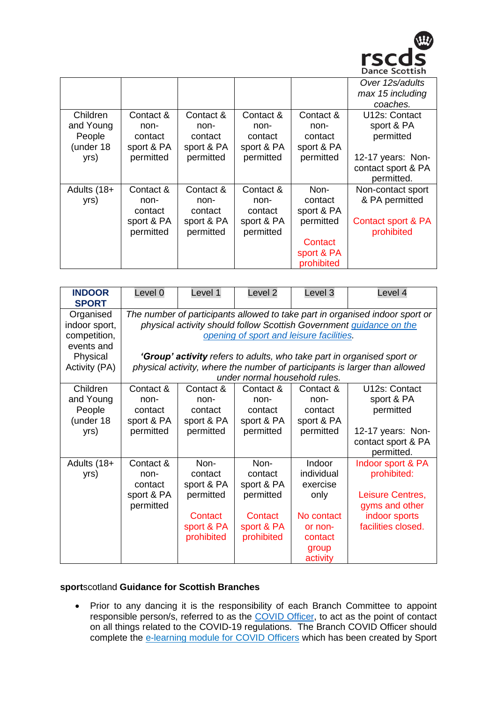

|             |            |            |            |            | Over 12s/adults    |
|-------------|------------|------------|------------|------------|--------------------|
|             |            |            |            |            | max 15 including   |
|             |            |            |            |            | coaches.           |
| Children    | Contact &  | Contact &  | Contact &  | Contact &  | U12s: Contact      |
| and Young   | non-       | non-       | non-       | non-       | sport & PA         |
| People      | contact    | contact    | contact    | contact    | permitted          |
| (under 18   | sport & PA | sport & PA | sport & PA | sport & PA |                    |
| yrs)        | permitted  | permitted  | permitted  | permitted  | 12-17 years: Non-  |
|             |            |            |            |            | contact sport & PA |
|             |            |            |            |            | permitted.         |
| Adults (18+ | Contact &  | Contact &  | Contact &  | Non-       | Non-contact sport  |
| yrs)        | non-       | non-       | non-       | contact    | & PA permitted     |
|             | contact    | contact    | contact    | sport & PA |                    |
|             | sport & PA | sport & PA | sport & PA | permitted  | Contact sport & PA |
|             | permitted  | permitted  | permitted  |            | prohibited         |
|             |            |            |            | Contact    |                    |
|             |            |            |            | sport & PA |                    |
|             |            |            |            | prohibited |                    |

| <b>INDOOR</b><br><b>SPORT</b>                            | Level 0                                                                                                                                                                                         | Level 1                                    | Level <sub>2</sub>                         | Level 3                                    | Level 4                                               |  |  |
|----------------------------------------------------------|-------------------------------------------------------------------------------------------------------------------------------------------------------------------------------------------------|--------------------------------------------|--------------------------------------------|--------------------------------------------|-------------------------------------------------------|--|--|
| Organised<br>indoor sport,<br>competition,<br>events and | The number of participants allowed to take part in organised indoor sport or<br>physical activity should follow Scottish Government guidance on the<br>opening of sport and leisure facilities. |                                            |                                            |                                            |                                                       |  |  |
| Physical<br>Activity (PA)                                | <b>'Group' activity</b> refers to adults, who take part in organised sport or<br>physical activity, where the number of participants is larger than allowed<br>under normal household rules.    |                                            |                                            |                                            |                                                       |  |  |
| Children<br>and Young<br>People<br>(under 18             | Contact &<br>non-<br>contact<br>sport & PA                                                                                                                                                      | Contact &<br>non-<br>contact<br>sport & PA | Contact &<br>non-<br>contact<br>sport & PA | Contact &<br>non-<br>contact<br>sport & PA | U12s: Contact<br>sport & PA<br>permitted              |  |  |
| yrs)                                                     | permitted                                                                                                                                                                                       | permitted                                  | permitted                                  | permitted                                  | 12-17 years: Non-<br>contact sport & PA<br>permitted. |  |  |
| Adults (18+<br>yrs)                                      | Contact &<br>non-<br>contact                                                                                                                                                                    | Non-<br>contact<br>sport & PA              | Non-<br>contact<br>sport & PA              | Indoor<br>individual<br>exercise           | Indoor sport & PA<br>prohibited:                      |  |  |
|                                                          | sport & PA<br>permitted                                                                                                                                                                         | permitted<br>Contact                       | permitted<br>Contact                       | only<br>No contact                         | Leisure Centres,<br>gyms and other<br>indoor sports   |  |  |
|                                                          |                                                                                                                                                                                                 | sport & PA<br>prohibited                   | sport & PA<br>prohibited                   | or non-<br>contact<br>group                | facilities closed.                                    |  |  |
|                                                          |                                                                                                                                                                                                 |                                            |                                            | activity                                   |                                                       |  |  |

## **sport**scotland **Guidance for Scottish Branches**

• Prior to any dancing it is the responsibility of each Branch Committee to appoint responsible person/s, referred to as the [COVID Officer,](http://www.sportscotland.org.uk/media/5950/sportscotland-covid-officer.pdf) to act as the point of contact on all things related to the COVID-19 regulations. The Branch COVID Officer should complete the [e-learning module for COVID Officers](https://rise.articulate.com/share/LlEWUj-o23H_4gC1AF002jdxdrCucQC0#/) which has been created by Sport